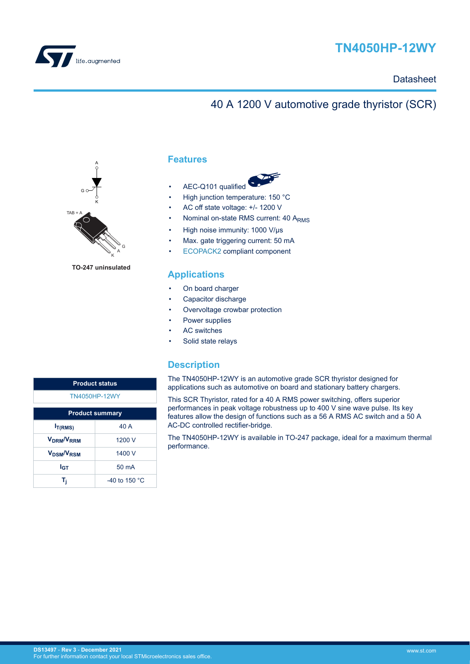

# **TN4050HP-12WY**

## **Datasheet**

## 40 A 1200 V automotive grade thyristor (SCR)



**TO-247 uninsulated**

## **Features**

- AEC-Q101 qualified
- High junction temperature: 150 °C
- AC off state voltage: +/- 1200 V
- Nominal on-state RMS current: 40 ARMS
- High noise immunity: 1000 V/μs
- Max. gate triggering current: 50 mA
- [ECOPACK2](https://www.st.com/ecopack) compliant component

### **Applications**

- On board charger
- Capacitor discharge
- Overvoltage crowbar protection
- Power supplies
- AC switches
- Solid state relays

## **Description**

The TN4050HP-12WY is an automotive grade SCR thyristor designed for applications such as automotive on board and stationary battery chargers.

This SCR Thyristor, rated for a 40 A RMS power switching, offers superior performances in peak voltage robustness up to 400 V sine wave pulse. Its key features allow the design of functions such as a 56 A RMS AC switch and a 50 A AC-DC controlled rectifier-bridge.

The TN4050HP-12WY is available in TO-247 package, ideal for a maximum thermal performance.

| <b>Product status</b>              |                         |  |  |
|------------------------------------|-------------------------|--|--|
| <b>TN4050HP-12WY</b>               |                         |  |  |
| <b>Product summary</b>             |                         |  |  |
| I <sub>T(RMS)</sub>                | 40 A                    |  |  |
| V <sub>DRM</sub> /V <sub>RRM</sub> | 1200 V                  |  |  |
| V <sub>DSM</sub> /V <sub>RSM</sub> | 1400 V                  |  |  |
| l <sub>GТ</sub>                    | $50 \text{ mA}$         |  |  |
|                                    | -40 to 150 $^{\circ}$ C |  |  |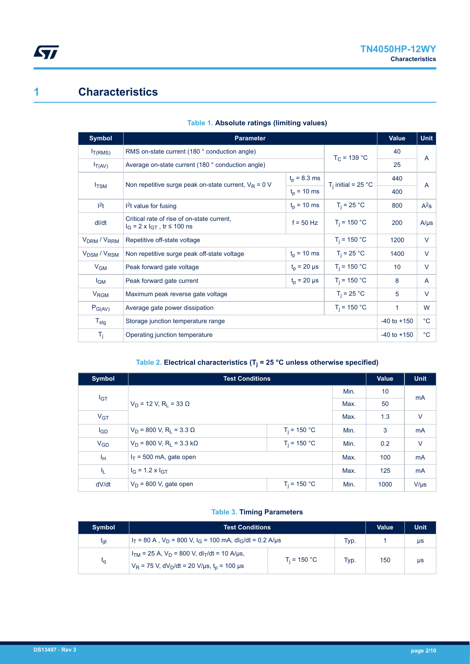## **1 Characteristics**

<span id="page-1-0"></span>ST

| Symbol                              | <b>Parameter</b>                                                                           | Value            | <b>Unit</b>           |           |                |
|-------------------------------------|--------------------------------------------------------------------------------------------|------------------|-----------------------|-----------|----------------|
| I <sub>T(RMS)</sub>                 | RMS on-state current (180 ° conduction angle)<br>$T_C = 139 °C$                            |                  |                       |           | $\overline{A}$ |
| $I_{T(AV)}$                         | Average on-state current (180 ° conduction angle)                                          |                  |                       | 25        |                |
|                                     | $t_p = 8.3$ ms<br>Non repetitive surge peak on-state current, $V_R = 0$ V<br>$t_0$ = 10 ms |                  | $T_i$ initial = 25 °C | 440       | $\overline{A}$ |
| $I_{\text{TSM}}$                    |                                                                                            |                  |                       | 400       |                |
| 1 <sup>2</sup> t                    | $12t$ value for fusing                                                                     | $t_0$ = 10 ms    | $T_i = 25 °C$         | 800       | $A^2$ s        |
| dl/dt                               | Critical rate of rise of on-state current,<br>$I_G = 2 \times I_{GT}$ , tr $\leq 100$ ns   | $T_i = 150 °C$   | 200                   | $A/\mu s$ |                |
| V <sub>DRM</sub> / V <sub>RRM</sub> | Repetitive off-state voltage                                                               | $T_i = 150 °C$   | 1200                  | $\vee$    |                |
| V <sub>DSM</sub> / V <sub>RSM</sub> | $t_p = 10$ ms<br>Non repetitive surge peak off-state voltage                               |                  | $T_i = 25 °C$         | 1400      | $\vee$         |
| $V_{GM}$                            | Peak forward gate voltage                                                                  | $t_0 = 20 \mu s$ | $T_i = 150 °C$        | 10        | $\vee$         |
| $I_{GM}$                            | Peak forward gate current                                                                  | $T_i = 150 °C$   | 8                     | A         |                |
| V <sub>RGM</sub>                    | Maximum peak reverse gate voltage                                                          | 5                | $\vee$                |           |                |
| $P_{G(AV)}$                         | $T_i = 150 °C$<br>Average gate power dissipation                                           |                  |                       |           | W              |
| $T_{\text{stg}}$                    | Storage junction temperature range                                                         | $-40$ to $+150$  | $^{\circ}C$           |           |                |
| $T_j$                               | Operating junction temperature                                                             | $-40$ to $+150$  | $^{\circ}$ C          |           |                |

### **Table 1. Absolute ratings (limiting values)**

#### **Table 2. Electrical characteristics (T<sup>j</sup> = 25 °C unless otherwise specified)**

| <b>Symbol</b>  | <b>Test Conditions</b>                                         |                |      | Value | <b>Unit</b> |
|----------------|----------------------------------------------------------------|----------------|------|-------|-------------|
|                |                                                                |                | Min. | 10    | mA          |
| $I_{GT}$       | $V_D$ = 12 V, R <sub>1</sub> = 33 $\Omega$                     |                | Max. | 50    |             |
| $V_{GT}$       |                                                                |                |      | 1.3   | $\vee$      |
| $I_{GD}$       | $V_D = 800$ V, R <sub>1</sub> = 3.3 $\Omega$<br>$T_i = 150 °C$ |                | Min. | 3     | <b>mA</b>   |
| $V_{GD}$       | $T_i = 150 °C$<br>$V_D = 800$ V, R <sub>i</sub> = 3.3 kΩ       |                | Min. | 0.2   | $\vee$      |
| I <sub>H</sub> | $I_T$ = 500 mA, gate open                                      |                | Max. | 100   | <b>mA</b>   |
| I <sub>L</sub> | $I_G = 1.2 \times I_{GT}$                                      |                | Max. | 125   | <b>mA</b>   |
| dV/dt          | $V_D$ = 800 V, gate open                                       | $T_i = 150 °C$ | Min. | 1000  | $V/\mu s$   |

### **Table 3. Timing Parameters**

| <b>Symbol</b>   | Test Conditions                                                                                                                        | <b>Value</b>   | <b>Unit</b> |     |    |
|-----------------|----------------------------------------------------------------------------------------------------------------------------------------|----------------|-------------|-----|----|
| $t_{\text{at}}$ | $I_T$ = 80 A, $V_D$ = 800 V, $I_G$ = 100 mA, dl <sub>C</sub> /dt = 0.2 A/us<br>Typ.                                                    |                |             |     | μs |
| ιq              | $I_{TM}$ = 25 A, $V_D$ = 800 V, dl <sub>T</sub> /dt = 10 A/µs,<br>$V_R$ = 75 V, dV <sub>D</sub> /dt = 20 V/µs, t <sub>p</sub> = 100 µs | $T_i = 150 °C$ | Typ.        | 150 | us |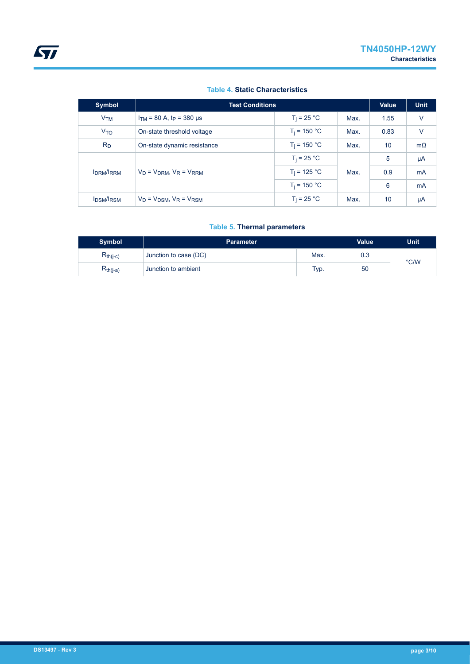#### **Table 4. Static Characteristics**

| Symbol           | <b>Test Conditions</b>                                |                |      | Value | <b>Unit</b> |
|------------------|-------------------------------------------------------|----------------|------|-------|-------------|
| V <sub>TM</sub>  | $I_{TM}$ = 80 A, t <sub>P</sub> = 380 µs              | $T_i = 25 °C$  | Max. | 1.55  | V           |
| V <sub>TO</sub>  | On-state threshold voltage                            | $T_i = 150 °C$ | Max. | 0.83  | $\vee$      |
| $R_{D}$          | $T_i = 150 °C$<br>On-state dynamic resistance<br>Max. |                |      | 10    | $m\Omega$   |
| <b>IDRM/IRRM</b> | $V_D = V_{DRM}$ , $V_R = V_{RRM}$                     | $T_i = 25 °C$  | Max. | 5     | $\mu A$     |
|                  |                                                       | $T_i = 125 °C$ |      | 0.9   | mA          |
|                  |                                                       | $T_i = 150 °C$ |      | 6     | mA          |
| <b>IDSM/IRSM</b> | $V_D = V_{DSM}$ , $V_R = V_{RSM}$                     | $T_i = 25 °C$  | Max. | 10    | μA          |

### **Table 5. Thermal parameters**

| <b>Symbol</b> | <b>Parameter</b>      | <b>Unit</b> |     |               |
|---------------|-----------------------|-------------|-----|---------------|
| $R_{th(j-c)}$ | Junction to case (DC) | Max.        | 0.3 | $\degree$ C/W |
| $R_{th(j-a)}$ | Junction to ambient   | Typ.        | 50  |               |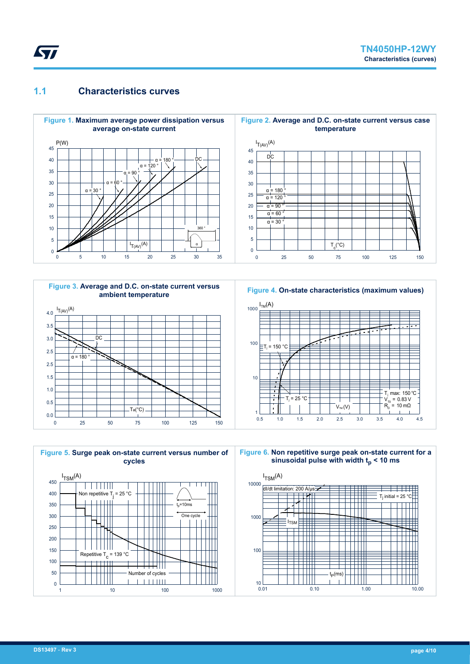## <span id="page-3-0"></span>**1.1 Characteristics curves**





**Figure 4. On-state characteristics (maximum values)**



**Figure 5. Surge peak on-state current versus number of cycles**  $I_{TSM}(A)$ 450 TTTTTTT  $\overline{\phantom{a}}$ 400 Non repetitive T<sub>j</sub> = 25 °C  $t = 10$ ms 350 300 One cycle 250



1 10 100 100 1000 1000

**Figure 6. Non repetitive surge peak on-state current for a sinusoidal pulse with width tp < 10 ms**

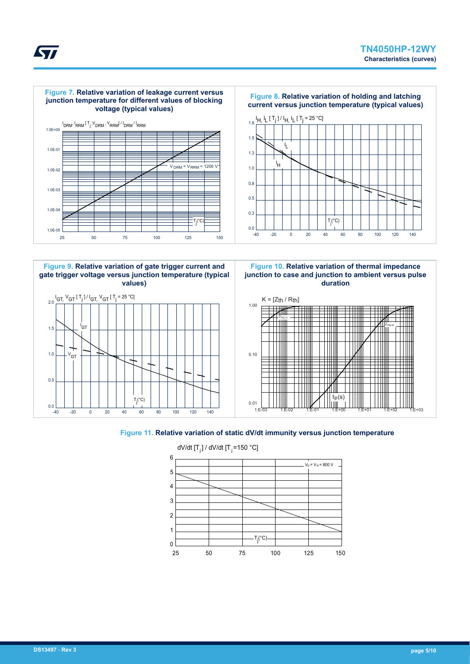











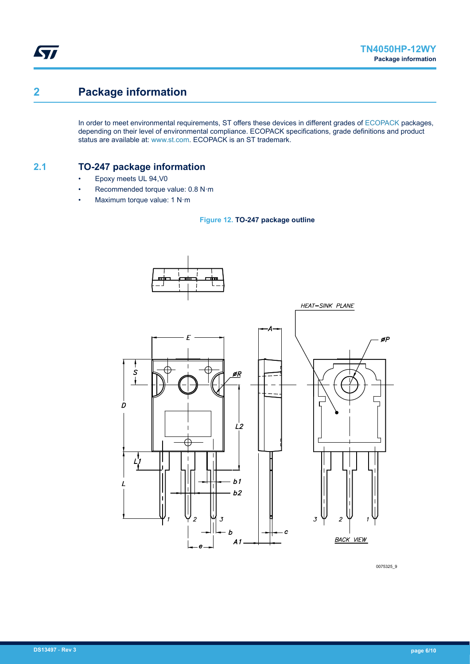## **2 Package information**

ST

In order to meet environmental requirements, ST offers these devices in different grades of [ECOPACK](https://www.st.com/ecopack) packages, depending on their level of environmental compliance. ECOPACK specifications, grade definitions and product status are available at: [www.st.com.](http://www.st.com) ECOPACK is an ST trademark.

## **2.1 TO-247 package information**

- Epoxy meets UL 94,V0
- Recommended torque value: 0.8 N·m
- Maximum torque value: 1 N·m





0075325\_9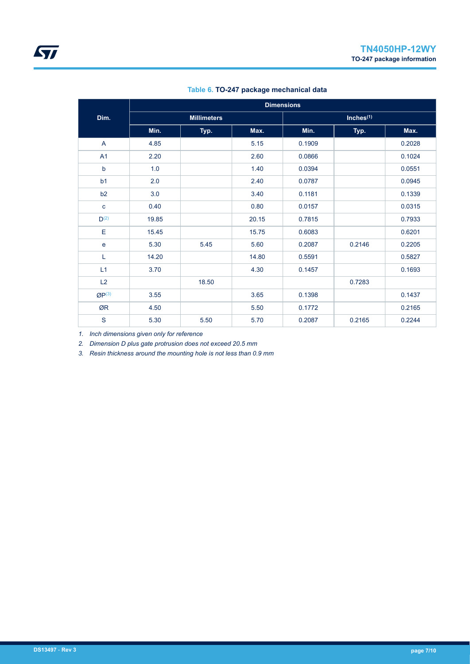|                  | <b>Dimensions</b> |                    |       |        |              |        |
|------------------|-------------------|--------------------|-------|--------|--------------|--------|
| Dim.             |                   | <b>Millimeters</b> |       |        | Inches $(1)$ |        |
|                  | Min.              | Typ.               | Max.  | Min.   | Typ.         | Max.   |
| $\mathsf{A}$     | 4.85              |                    | 5.15  | 0.1909 |              | 0.2028 |
| A1               | 2.20              |                    | 2.60  | 0.0866 |              | 0.1024 |
| $\mathsf b$      | 1.0               |                    | 1.40  | 0.0394 |              | 0.0551 |
| b <sub>1</sub>   | 2.0               |                    | 2.40  | 0.0787 |              | 0.0945 |
| b2               | 3.0               |                    | 3.40  | 0.1181 |              | 0.1339 |
| $\mathbf{C}$     | 0.40              |                    | 0.80  | 0.0157 |              | 0.0315 |
| D <sup>(2)</sup> | 19.85             |                    | 20.15 | 0.7815 |              | 0.7933 |
| Е                | 15.45             |                    | 15.75 | 0.6083 |              | 0.6201 |
| $\mathbf e$      | 5.30              | 5.45               | 5.60  | 0.2087 | 0.2146       | 0.2205 |
| L                | 14.20             |                    | 14.80 | 0.5591 |              | 0.5827 |
| L1               | 3.70              |                    | 4.30  | 0.1457 |              | 0.1693 |
| L2               |                   | 18.50              |       |        | 0.7283       |        |
| $QP^{(3)}$       | 3.55              |                    | 3.65  | 0.1398 |              | 0.1437 |
| ØR               | 4.50              |                    | 5.50  | 0.1772 |              | 0.2165 |
| ${\mathsf S}$    | 5.30              | 5.50               | 5.70  | 0.2087 | 0.2165       | 0.2244 |

#### **Table 6. TO-247 package mechanical data**

*1. Inch dimensions given only for reference*

*2. Dimension D plus gate protrusion does not exceed 20.5 mm*

*3. Resin thickness around the mounting hole is not less than 0.9 mm*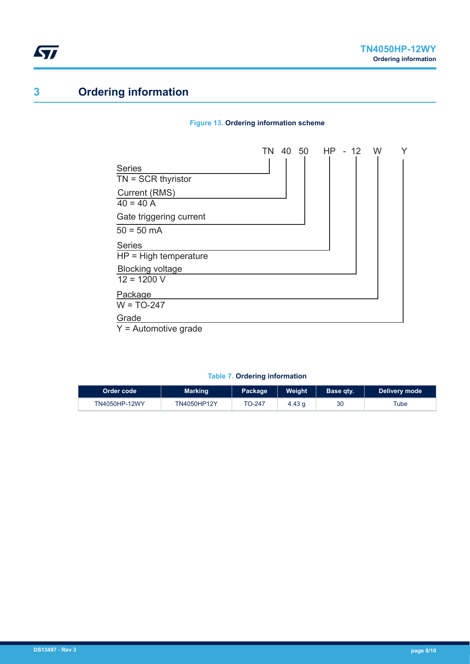## **3 Ordering information**

#### **Figure 13. Ordering information scheme**



#### **Table 7. Ordering information**

| LOrder code <b>\</b> | <b>Marking</b>     | Package | <b>Weight</b> | Base qty. | <b>Delivery mode</b> |
|----------------------|--------------------|---------|---------------|-----------|----------------------|
| TN4050HP-12WY        | <b>TN4050HP12Y</b> | ТО-247  | 4.43q         | 30        | Tube                 |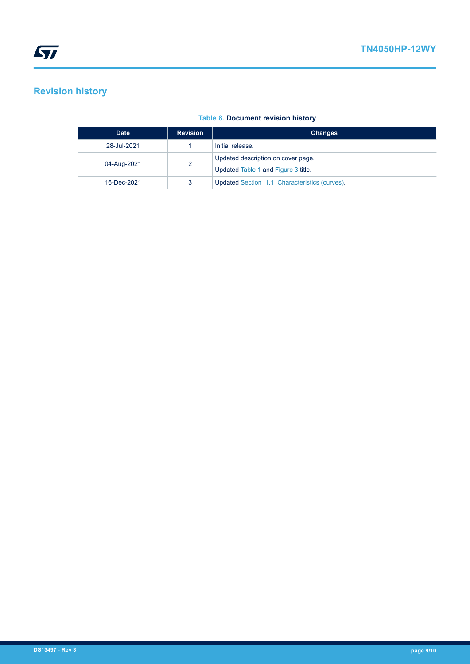## **Revision history**

| <b>Date</b> | <b>Revision</b> | <b>Changes</b>                                                            |
|-------------|-----------------|---------------------------------------------------------------------------|
| 28-Jul-2021 |                 | Initial release.                                                          |
| 04-Aug-2021 | າ               | Updated description on cover page.<br>Updated Table 1 and Figure 3 title. |
| 16-Dec-2021 |                 | Updated Section 1.1 Characteristics (curves).                             |

### **Table 8. Document revision history**